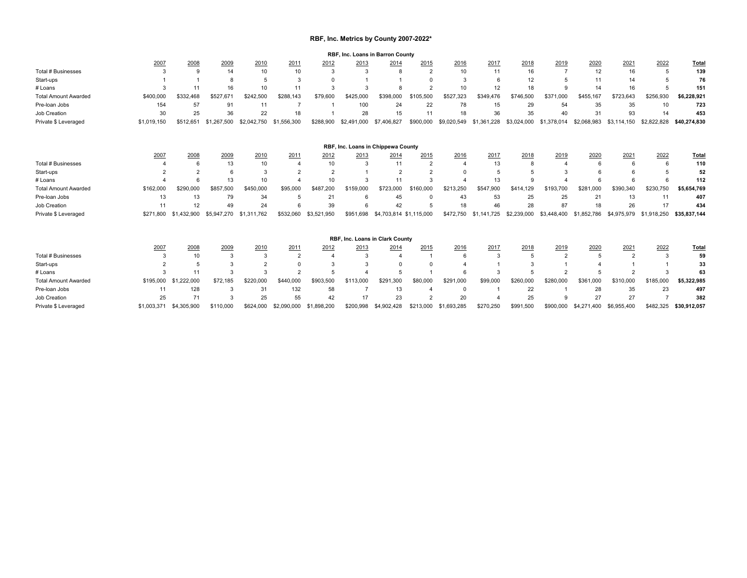## **RBF, Inc. Metrics by County 2007-2022\***

**RBF, Inc. Loans in Barron County**

|                             |             |                |             |             |             |                 | . שוווי, וערו |                                    | oounty         |                 |               |             |                |                 |                |               |              |
|-----------------------------|-------------|----------------|-------------|-------------|-------------|-----------------|---------------|------------------------------------|----------------|-----------------|---------------|-------------|----------------|-----------------|----------------|---------------|--------------|
|                             | 2007        | 2008           | 2009        | 2010        | 2011        | 2012            | 2013          | 2014                               | 2015           | 2016            | 2017          | 2018        | 2019           | 2020            | 2021           | 2022          | Total        |
| Total # Businesses          | 3           | $\mathbf{Q}$   | 14          | 10          | 10          | 3               | 3             | 8                                  | $\overline{2}$ | 10              | 11            | 16          | $\overline{7}$ | 12              | 16             |               | 139          |
| Start-ups                   |             |                | 8           |             | 3           |                 |               |                                    |                | 3               | 6             | 12          |                | 11              | 14             |               | 76           |
| # Loans                     | 3           | 11             | 16          | 10          | 11          | 3               | 3             |                                    | $\mathcal{P}$  | 10              | 12            | 18          | $\Omega$       | 14              | 16             |               | 151          |
| <b>Total Amount Awarded</b> | \$400,000   | \$332,468      | \$527,67    | \$242,500   | \$288,143   | \$79,600        | \$425,000     | \$398,000                          | \$105,500      | \$527.323       | \$349,476     | \$746,500   | \$371,000      | \$455,167       | \$723,643      | \$256,930     | \$6,228,921  |
| Pre-loan Jobs               | 154         | 57             | 91          | 11          |             |                 | 100           | 24                                 | 22             | 78              | 15            | 29          | 54             | 35              | 35             | 10            | 723          |
| Job Creation                | 30          | 25             | 36          | 22          | 18          |                 | 28            | 15                                 | 11             | 18              | 36            | 35          | 40             | 31              | 93             | 14            | 453          |
| Private \$ Leveraged        | \$1,019,150 | \$512,651      | \$1,267,500 | \$2.042.750 | \$1,556,300 | \$288,900       | \$2,491,000   | \$7,406,827                        | \$900,000      | \$9.020.549     | \$1,361,228   | \$3.024.000 | 378,014<br>\$1 | \$2.068.983     | \$3,114,150    | \$2,822,828   | \$40.274.830 |
|                             |             |                |             |             |             |                 |               | RBF, Inc. Loans in Chippewa County |                |                 |               |             |                |                 |                |               |              |
|                             | 2007        | 2008           | 2009        | 2010        | 2011        | 2012            | 2013          | 2014                               | 2015           | 2016            | 2017          | 2018        | 2019           | 2020            | 2021           | 2022          | <b>Total</b> |
| Total # Businesses          |             | 6              | 13          | 10          |             | 10              | 3             | 11                                 | $\overline{2}$ |                 | 13            |             |                |                 | 6              | 6             | 110          |
| Start-ups                   |             | $\Omega$       | 6           | 3           |             | $\overline{2}$  |               | $\overline{2}$                     | ີ              |                 |               |             |                |                 |                |               | 52           |
| # Loans                     |             | 6              | 13          | 10          |             | 10              | 3             | 11                                 | 3              |                 | 13            |             |                |                 |                |               | 112          |
| <b>Total Amount Awarded</b> | \$162,000   | \$290,000      | \$857,500   | \$450,000   | \$95,000    | \$487,200       | \$159,000     | \$723,000                          | \$160,000      | \$213.250       | \$547.900     | \$414.129   | \$193.700      | \$281.000       | \$390.340      | \$230,750     | \$5,654,769  |
| Pre-loan Jobs               | 13          | 13             | 79          | 34          | 5           | 21              | 6             | 45                                 | $\Omega$       | 43              | 53            | 25          | 25             | 21              | 13             | 11            | 407          |
| Job Creation                | 11          | 12             | 49          | 24          | 6           | 39              | 6             | 42                                 | 5              | 18              | 46            | 28          | 87             | 18              | 26             | 17            | 434          |
| Private \$ Leveraged        | \$271,800   | \$1,432,900    | \$5,947,270 | \$1,311,762 | \$532,060   | \$3,521,950     | \$951.698     | \$4,703,814 \$1,115,000            |                | \$472.750       | \$1,141,725   | \$2,239,000 | \$3,448,400    | .852.786<br>\$1 | \$4,975,979    | \$1,918,250   | \$35.837.144 |
|                             |             |                |             |             |             |                 |               | RBF, Inc. Loans in Clark County    |                |                 |               |             |                |                 |                |               |              |
|                             | 2007        | 2008           | 2009        | 2010        | 2011        | 2012            | 2013          | 2014                               | 2015           | 2016            | 2017          | 2018        | 2019           | 2020            | 2021           | 2022          | Total        |
| Total # Businesses          | 3           | 10             | 3           | 3           | 2           | $\Delta$        | 3             | $\Delta$                           |                | 6               | $\mathcal{R}$ |             | $\overline{2}$ |                 | $\overline{2}$ | $\mathcal{R}$ | 59           |
| Start-ups                   |             | 5              | 3           | 2           |             |                 | 3             |                                    |                |                 |               |             |                |                 |                |               | 33           |
| # Loans                     |             | 11             | З           | 3           | 2           |                 |               | F                                  |                |                 |               |             |                |                 |                |               | 63           |
| <b>Total Amount Awarded</b> | \$195,000   | 222.000<br>\$1 | \$72.185    | \$220,000   | \$440,000   | \$903,500       | \$113,000     | 1.300<br>\$291                     | \$80,000       | \$291.000       | \$99,000      | \$260,000   | \$280,000      | \$361,000       | \$310,000      | \$185,000     | \$5,322,985  |
| Pre-loan Jobs               | 11          | 128            | 3           | 31          | 132         | 58              |               | 13                                 |                |                 |               | 22          |                | 28              | 35             | 23            | 497          |
| Job Creation                | 25          | 71             | 3           | 25          | 55          | 42              | 17            | 23                                 | $\Omega$       | 20              |               | 25          |                | 27              | 27             |               | 382          |
| Private \$ Leveraged        | \$1,003,371 | \$4,305,900    | \$110,000   | \$624,000   | \$2,090,000 | .898.200<br>\$1 | \$200.998     | \$4,902,428                        | \$213,000      | .693.285<br>\$1 | \$270,250     | \$991,500   | \$900,000      | \$4,271,400     | \$6,955,400    | \$482.325     | \$30.912.057 |
|                             |             |                |             |             |             |                 |               |                                    |                |                 |               |             |                |                 |                |               |              |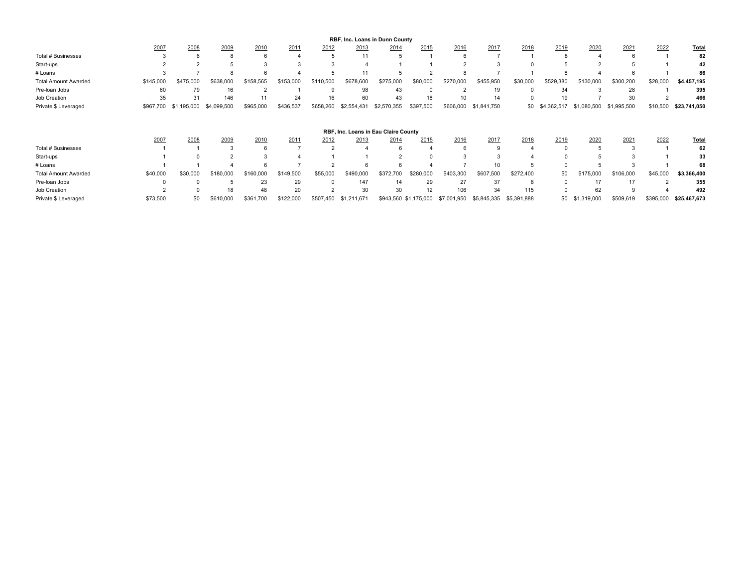| RBF, Inc. Loans in Dunn County       |           |                 |             |           |           |           |             |             |           |           |                 |           |             |             |             |          |              |
|--------------------------------------|-----------|-----------------|-------------|-----------|-----------|-----------|-------------|-------------|-----------|-----------|-----------------|-----------|-------------|-------------|-------------|----------|--------------|
|                                      | 2007      | 2008            | 2009        | 2010      | 2011      | 2012      | 2013        | 2014        | 2015      | 2016      | 2017            | 2018      | 2019        | 2020        | 2021        | 2022     | <b>Total</b> |
| Total # Businesses                   |           |                 |             |           |           |           | 11          |             |           |           |                 |           |             |             |             |          | 82           |
| Start-ups                            |           |                 |             |           |           |           |             |             |           |           |                 |           |             |             |             |          | 42           |
| # Loans                              |           |                 |             |           |           |           | 11          |             |           |           |                 |           |             |             |             |          | 86           |
| <b>Total Amount Awarded</b>          | \$145,000 | \$475,000       | \$638,000   | \$158.565 | \$153,000 | \$110,500 | \$678,600   | \$275,000   | \$80,000  | \$270,000 | \$455,950       | \$30,000  | \$529,380   | \$130,000   | \$300,200   | \$28,000 | \$4,457,195  |
| Pre-Ioan Jobs                        | 60        | 79              | 16          |           |           | g         | 98          | 43          |           |           | 19              |           | 34          |             | 28          |          | 395          |
| Job Creation                         | 35        | 31              | 146         |           | 24        | 16        | 60          | 43          | 18        | 10        | 14              |           | 19          |             | 30          |          | 466          |
| Private \$ Leveraged                 | \$967,700 | ,195,000<br>\$1 | \$4,099,500 | \$965,000 | \$436,537 | \$658,260 | \$2,554,431 | \$2,570,355 | \$397,500 | \$606,000 | \$1,841,750     | \$0       | \$4,362,517 | \$1,080,500 | \$1,995,500 | \$10,500 | \$23,741,050 |
| RBF, Inc. Loans in Eau Claire County |           |                 |             |           |           |           |             |             |           |           |                 |           |             |             |             |          |              |
|                                      |           |                 |             |           |           |           |             |             |           |           |                 |           |             |             |             |          |              |
|                                      | 2007      | 2008            | 2009        | 2010      | 2011      | 2012      | 2013        | 2014        | 2015      | 2016      | 2017            | 2018      | 2019        | 2020        | 2021        | 2022     | Total        |
| Total # Businesses                   |           |                 |             |           |           |           |             |             |           |           | 9               |           |             |             | 3           |          | 62           |
| Start-ups                            |           |                 |             |           |           |           |             |             |           |           |                 |           |             |             |             |          | 33           |
| # Loans                              |           |                 |             |           |           |           |             |             |           |           | 10 <sup>1</sup> |           |             |             |             |          | 68           |
| <b>Total Amount Awarded</b>          | \$40,000  | \$30,000        | \$180,000   | \$160,000 | \$149,500 | \$55,000  | \$490,000   | \$372,700   | \$280.000 | \$403,300 | \$607,500       | \$272,400 | \$0         | \$175,000   | \$106,000   | \$45,000 | \$3,366,400  |
| Pre-Ioan Jobs                        |           |                 |             | 23        | 29        |           | 147         | 14          | 29        | 27        | 37              | 8         |             | 17          | 17          |          | 355          |
| Job Creation                         |           |                 |             | 48        | 20        |           | 30          | 30          | 12        | 106       | 34              | 115       |             | 62          | 9           |          | 492          |